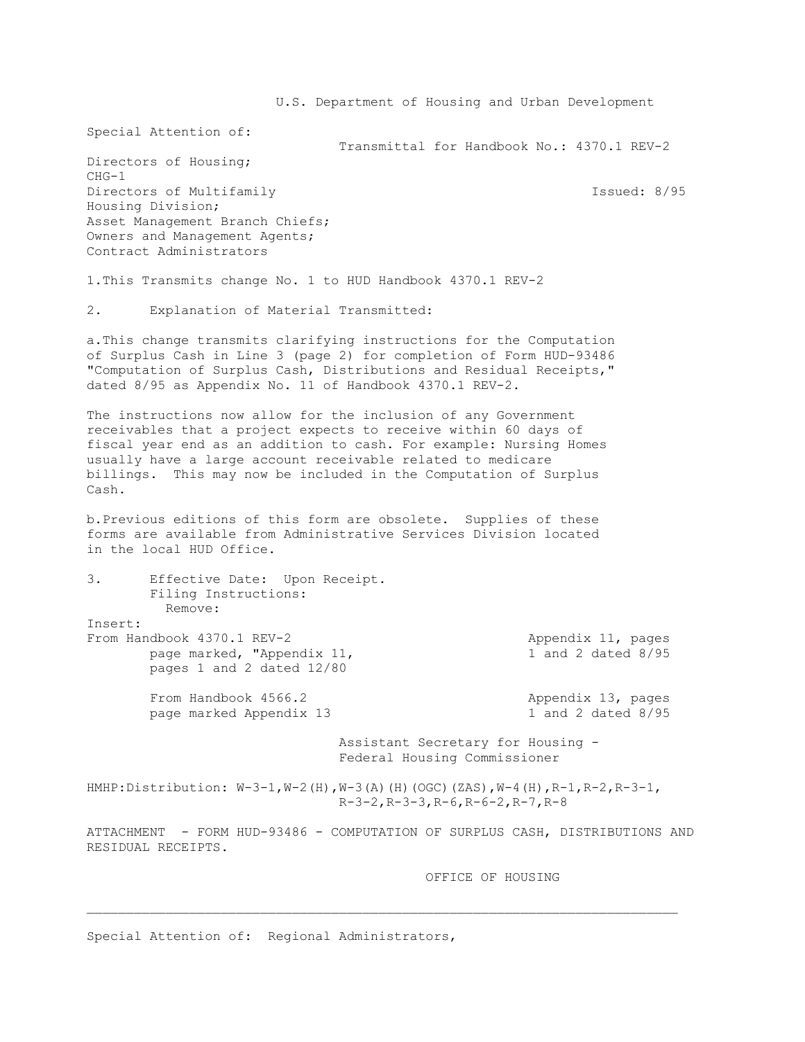U.S. Department of Housing and Urban Development Special Attention of: Transmittal for Handbook No.: 4370.1 REV-2 Directors of Housing; CHG-1 Directors of Multifamily **Issued: 8/95** Housing Division; Asset Management Branch Chiefs; Owners and Management Agents; Contract Administrators 1.This Transmits change No. 1 to HUD Handbook 4370.1 REV-2 2. Explanation of Material Transmitted: a.This change transmits clarifying instructions for the Computation of Surplus Cash in Line 3 (page 2) for completion of Form HUD-93486 "Computation of Surplus Cash, Distributions and Residual Receipts," dated 8/95 as Appendix No. 11 of Handbook 4370.1 REV-2. The instructions now allow for the inclusion of any Government receivables that a project expects to receive within 60 days of fiscal year end as an addition to cash. For example: Nursing Homes usually have a large account receivable related to medicare billings. This may now be included in the Computation of Surplus Cash. b.Previous editions of this form are obsolete. Supplies of these forms are available from Administrative Services Division located in the local HUD Office. 3. Effective Date: Upon Receipt. Filing Instructions: Remove: Insert: From Handbook 4370.1 REV-2 Appendix 11, pages page marked, "Appendix 11, 1 and 2 dated 8/95 pages 1 and 2 dated 12/80 From Handbook 4566.2 Appendix 13, pages page marked Appendix 13 1 and 2 dated 8/95 Assistant Secretary for Housing - Federal Housing Commissioner HMHP:Distribution: W-3-1,W-2(H),W-3(A)(H)(OGC)(ZAS),W-4(H),R-1,R-2,R-3-1, R-3-2,R-3-3,R-6,R-6-2,R-7,R-8 ATTACHMENT - FORM HUD-93486 - COMPUTATION OF SURPLUS CASH, DISTRIBUTIONS AND RESIDUAL RECEIPTS. OFFICE OF HOUSING

Special Attention of: Regional Administrators,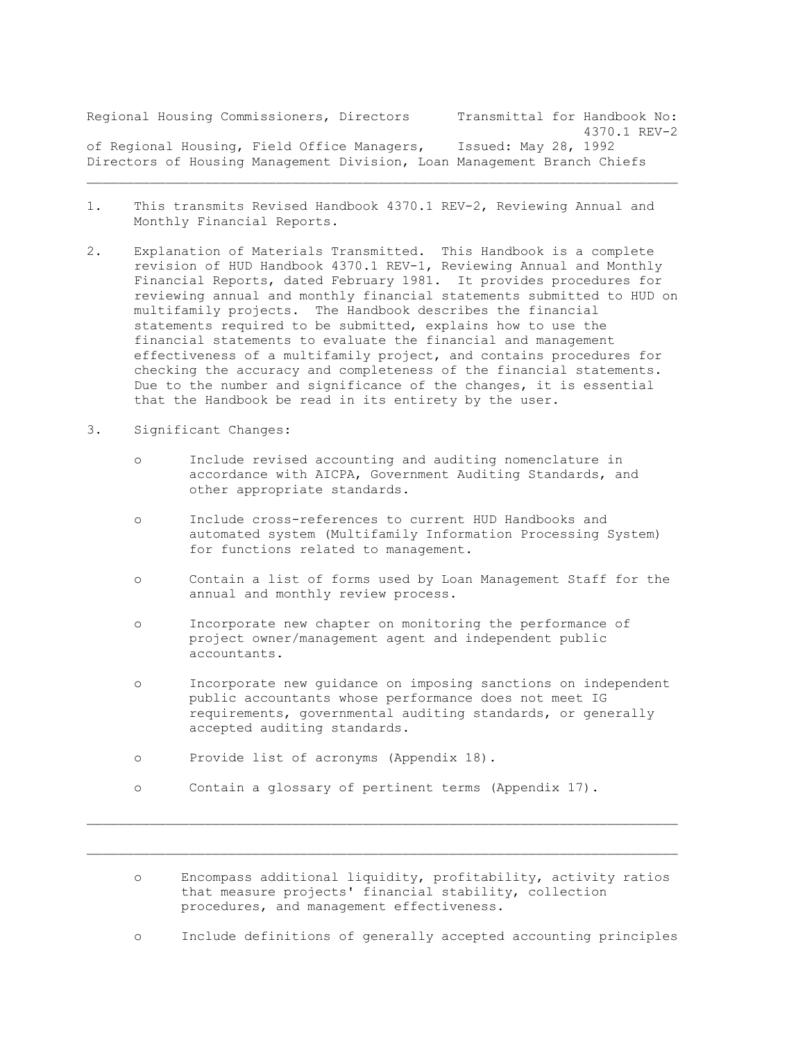Regional Housing Commissioners, Directors Transmittal for Handbook No: 4370.1 REV-2 of Regional Housing, Field Office Managers, Issued: May 28, 1992 Directors of Housing Management Division, Loan Management Branch Chiefs

- 1. This transmits Revised Handbook 4370.1 REV-2, Reviewing Annual and Monthly Financial Reports.
- 2. Explanation of Materials Transmitted. This Handbook is a complete revision of HUD Handbook 4370.1 REV-1, Reviewing Annual and Monthly Financial Reports, dated February 1981. It provides procedures for reviewing annual and monthly financial statements submitted to HUD on multifamily projects. The Handbook describes the financial statements required to be submitted, explains how to use the financial statements to evaluate the financial and management effectiveness of a multifamily project, and contains procedures for checking the accuracy and completeness of the financial statements. Due to the number and significance of the changes, it is essential that the Handbook be read in its entirety by the user.
- 3. Significant Changes:
	- o Include revised accounting and auditing nomenclature in accordance with AICPA, Government Auditing Standards, and other appropriate standards.
	- o Include cross-references to current HUD Handbooks and automated system (Multifamily Information Processing System) for functions related to management.
	- o Contain a list of forms used by Loan Management Staff for the annual and monthly review process.
	- o Incorporate new chapter on monitoring the performance of project owner/management agent and independent public accountants.
	- o Incorporate new guidance on imposing sanctions on independent public accountants whose performance does not meet IG requirements, governmental auditing standards, or generally accepted auditing standards.
	- o Provide list of acronyms (Appendix 18).
	- o Contain a glossary of pertinent terms (Appendix 17).

 $\mathcal{L}_\text{max}$ 

 o Encompass additional liquidity, profitability, activity ratios that measure projects' financial stability, collection procedures, and management effectiveness.

o Include definitions of generally accepted accounting principles